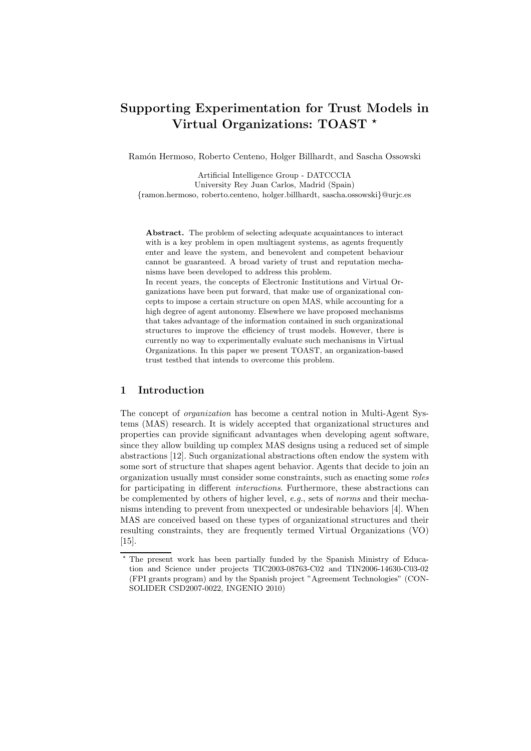# Supporting Experimentation for Trust Models in Virtual Organizations: TOAST \*

Ramón Hermoso, Roberto Centeno, Holger Billhardt, and Sascha Ossowski

Artificial Intelligence Group - DATCCCIA University Rey Juan Carlos, Madrid (Spain) {ramon.hermoso, roberto.centeno, holger.billhardt, sascha.ossowski}@urjc.es

Abstract. The problem of selecting adequate acquaintances to interact with is a key problem in open multiagent systems, as agents frequently enter and leave the system, and benevolent and competent behaviour cannot be guaranteed. A broad variety of trust and reputation mechanisms have been developed to address this problem.

In recent years, the concepts of Electronic Institutions and Virtual Organizations have been put forward, that make use of organizational concepts to impose a certain structure on open MAS, while accounting for a high degree of agent autonomy. Elsewhere we have proposed mechanisms that takes advantage of the information contained in such organizational structures to improve the efficiency of trust models. However, there is currently no way to experimentally evaluate such mechanisms in Virtual Organizations. In this paper we present TOAST, an organization-based trust testbed that intends to overcome this problem.

## 1 Introduction

The concept of *organization* has become a central notion in Multi-Agent Systems (MAS) research. It is widely accepted that organizational structures and properties can provide significant advantages when developing agent software, since they allow building up complex MAS designs using a reduced set of simple abstractions [12]. Such organizational abstractions often endow the system with some sort of structure that shapes agent behavior. Agents that decide to join an organization usually must consider some constraints, such as enacting some roles for participating in different interactions. Furthermore, these abstractions can be complemented by others of higher level, e.g., sets of norms and their mechanisms intending to prevent from unexpected or undesirable behaviors [4]. When MAS are conceived based on these types of organizational structures and their resulting constraints, they are frequently termed Virtual Organizations (VO) [15].

<sup>⋆</sup> The present work has been partially funded by the Spanish Ministry of Education and Science under projects TIC2003-08763-C02 and TIN2006-14630-C03-02 (FPI grants program) and by the Spanish project "Agreement Technologies" (CON-SOLIDER CSD2007-0022, INGENIO 2010)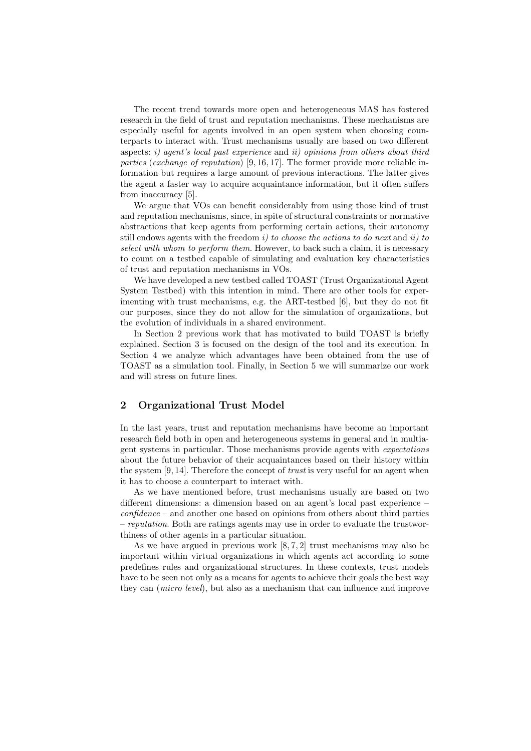The recent trend towards more open and heterogeneous MAS has fostered research in the field of trust and reputation mechanisms. These mechanisms are especially useful for agents involved in an open system when choosing counterparts to interact with. Trust mechanisms usually are based on two different aspects: i) agent's local past experience and ii) opinions from others about third parties (exchange of reputation) [9, 16, 17]. The former provide more reliable information but requires a large amount of previous interactions. The latter gives the agent a faster way to acquire acquaintance information, but it often suffers from inaccuracy [5].

We argue that VOs can benefit considerably from using those kind of trust and reputation mechanisms, since, in spite of structural constraints or normative abstractions that keep agents from performing certain actions, their autonomy still endows agents with the freedom  $i$ ) to choose the actions to do next and  $ii$ ) to select with whom to perform them. However, to back such a claim, it is necessary to count on a testbed capable of simulating and evaluation key characteristics of trust and reputation mechanisms in VOs.

We have developed a new testbed called TOAST (Trust Organizational Agent System Testbed) with this intention in mind. There are other tools for experimenting with trust mechanisms, e.g. the ART-testbed [6], but they do not fit our purposes, since they do not allow for the simulation of organizations, but the evolution of individuals in a shared environment.

In Section 2 previous work that has motivated to build TOAST is briefly explained. Section 3 is focused on the design of the tool and its execution. In Section 4 we analyze which advantages have been obtained from the use of TOAST as a simulation tool. Finally, in Section 5 we will summarize our work and will stress on future lines.

# 2 Organizational Trust Model

In the last years, trust and reputation mechanisms have become an important research field both in open and heterogeneous systems in general and in multiagent systems in particular. Those mechanisms provide agents with expectations about the future behavior of their acquaintances based on their history within the system  $[9, 14]$ . Therefore the concept of *trust* is very useful for an agent when it has to choose a counterpart to interact with.

As we have mentioned before, trust mechanisms usually are based on two different dimensions: a dimension based on an agent's local past experience –  $confidence - and another one based on opinions from others about third parties$ – reputation. Both are ratings agents may use in order to evaluate the trustworthiness of other agents in a particular situation.

As we have argued in previous work  $[8, 7, 2]$  trust mechanisms may also be important within virtual organizations in which agents act according to some predefines rules and organizational structures. In these contexts, trust models have to be seen not only as a means for agents to achieve their goals the best way they can (micro level), but also as a mechanism that can influence and improve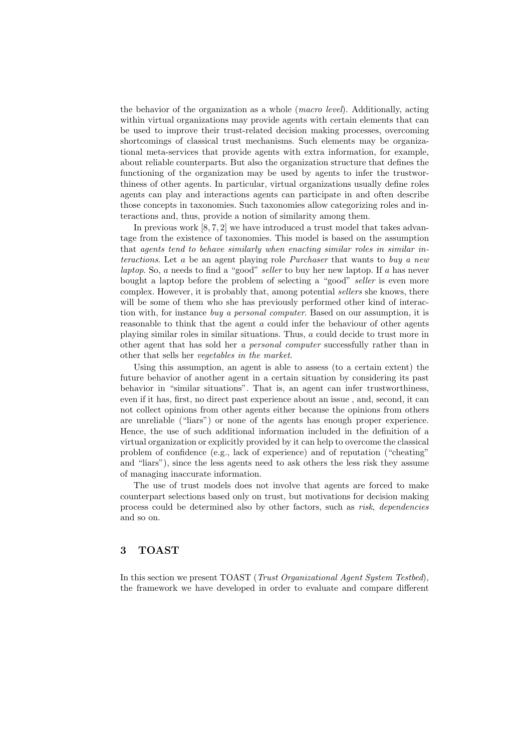the behavior of the organization as a whole (macro level). Additionally, acting within virtual organizations may provide agents with certain elements that can be used to improve their trust-related decision making processes, overcoming shortcomings of classical trust mechanisms. Such elements may be organizational meta-services that provide agents with extra information, for example, about reliable counterparts. But also the organization structure that defines the functioning of the organization may be used by agents to infer the trustworthiness of other agents. In particular, virtual organizations usually define roles agents can play and interactions agents can participate in and often describe those concepts in taxonomies. Such taxonomies allow categorizing roles and interactions and, thus, provide a notion of similarity among them.

In previous work  $[8, 7, 2]$  we have introduced a trust model that takes advantage from the existence of taxonomies. This model is based on the assumption that agents tend to behave similarly when enacting similar roles in similar interactions. Let a be an agent playing role Purchaser that wants to buy a new laptop. So,  $a$  needs to find a "good" seller to buy her new laptop. If  $a$  has never bought a laptop before the problem of selecting a "good" seller is even more complex. However, it is probably that, among potential sellers she knows, there will be some of them who she has previously performed other kind of interaction with, for instance buy a personal computer. Based on our assumption, it is reasonable to think that the agent a could infer the behaviour of other agents playing similar roles in similar situations. Thus, a could decide to trust more in other agent that has sold her a personal computer successfully rather than in other that sells her vegetables in the market.

Using this assumption, an agent is able to assess (to a certain extent) the future behavior of another agent in a certain situation by considering its past behavior in "similar situations". That is, an agent can infer trustworthiness, even if it has, first, no direct past experience about an issue , and, second, it can not collect opinions from other agents either because the opinions from others are unreliable ("liars") or none of the agents has enough proper experience. Hence, the use of such additional information included in the definition of a virtual organization or explicitly provided by it can help to overcome the classical problem of confidence (e.g., lack of experience) and of reputation ("cheating" and "liars"), since the less agents need to ask others the less risk they assume of managing inaccurate information.

The use of trust models does not involve that agents are forced to make counterpart selections based only on trust, but motivations for decision making process could be determined also by other factors, such as risk, dependencies and so on.

# 3 TOAST

In this section we present TOAST (Trust Organizational Agent System Testbed), the framework we have developed in order to evaluate and compare different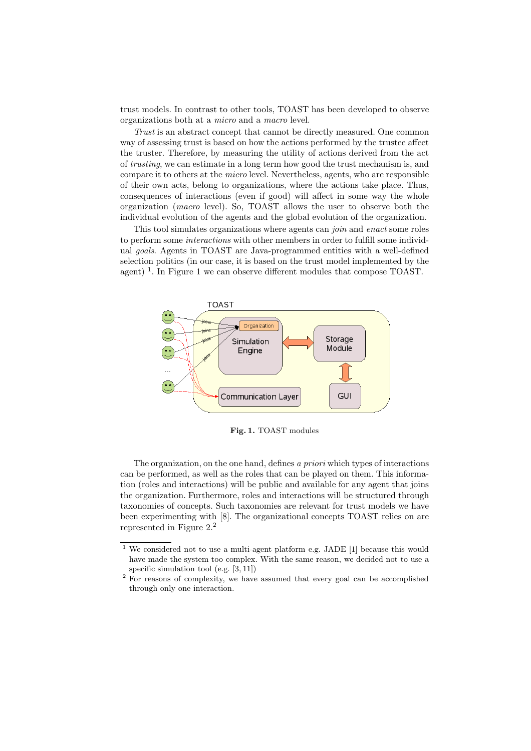trust models. In contrast to other tools, TOAST has been developed to observe organizations both at a micro and a macro level.

Trust is an abstract concept that cannot be directly measured. One common way of assessing trust is based on how the actions performed by the trustee affect the truster. Therefore, by measuring the utility of actions derived from the act of trusting, we can estimate in a long term how good the trust mechanism is, and compare it to others at the *micro* level. Nevertheless, agents, who are responsible of their own acts, belong to organizations, where the actions take place. Thus, consequences of interactions (even if good) will affect in some way the whole organization (macro level). So, TOAST allows the user to observe both the individual evolution of the agents and the global evolution of the organization.

This tool simulates organizations where agents can join and enact some roles to perform some interactions with other members in order to fulfill some individual goals. Agents in TOAST are Java-programmed entities with a well-defined selection politics (in our case, it is based on the trust model implemented by the agent)<sup>1</sup>. In Figure 1 we can observe different modules that compose TOAST.



Fig. 1. TOAST modules

The organization, on the one hand, defines a priori which types of interactions can be performed, as well as the roles that can be played on them. This information (roles and interactions) will be public and available for any agent that joins the organization. Furthermore, roles and interactions will be structured through taxonomies of concepts. Such taxonomies are relevant for trust models we have been experimenting with [8]. The organizational concepts TOAST relies on are represented in Figure 2.<sup>2</sup>

 $1$  We considered not to use a multi-agent platform e.g. JADE [1] because this would have made the system too complex. With the same reason, we decided not to use a specific simulation tool (e.g. [3, 11])

<sup>&</sup>lt;sup>2</sup> For reasons of complexity, we have assumed that every goal can be accomplished through only one interaction.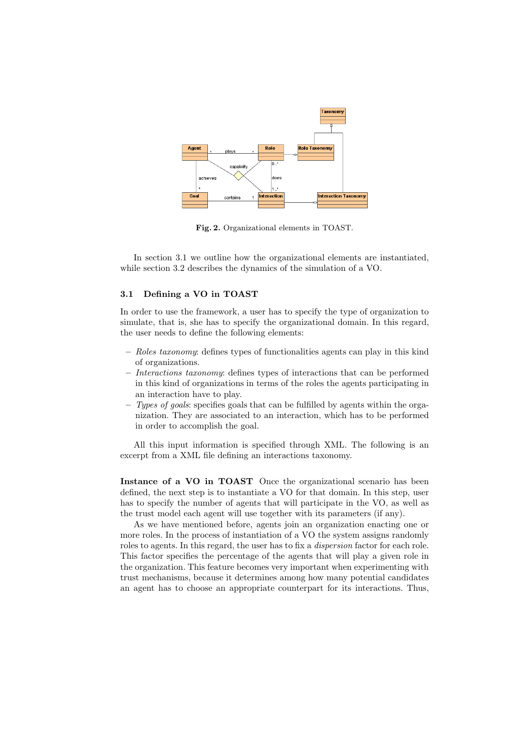

Fig. 2. Organizational elements in TOAST.

In section 3.1 we outline how the organizational elements are instantiated, while section 3.2 describes the dynamics of the simulation of a VO.

#### 3.1 Defining a VO in TOAST

In order to use the framework, a user has to specify the type of organization to simulate, that is, she has to specify the organizational domain. In this regard, the user needs to define the following elements:

- Roles taxonomy: defines types of functionalities agents can play in this kind of organizations.
- Interactions taxonomy: defines types of interactions that can be performed in this kind of organizations in terms of the roles the agents participating in an interaction have to play.
- $-$  Types of goals: specifies goals that can be fulfilled by agents within the organization. They are associated to an interaction, which has to be performed in order to accomplish the goal.

All this input information is specified through XML. The following is an excerpt from a XML file defining an interactions taxonomy.

Instance of a VO in TOAST Once the organizational scenario has been defined, the next step is to instantiate a VO for that domain. In this step, user has to specify the number of agents that will participate in the VO, as well as the trust model each agent will use together with its parameters (if any).

As we have mentioned before, agents join an organization enacting one or more roles. In the process of instantiation of a VO the system assigns randomly roles to agents. In this regard, the user has to fix a dispersion factor for each role. This factor specifies the percentage of the agents that will play a given role in the organization. This feature becomes very important when experimenting with trust mechanisms, because it determines among how many potential candidates an agent has to choose an appropriate counterpart for its interactions. Thus,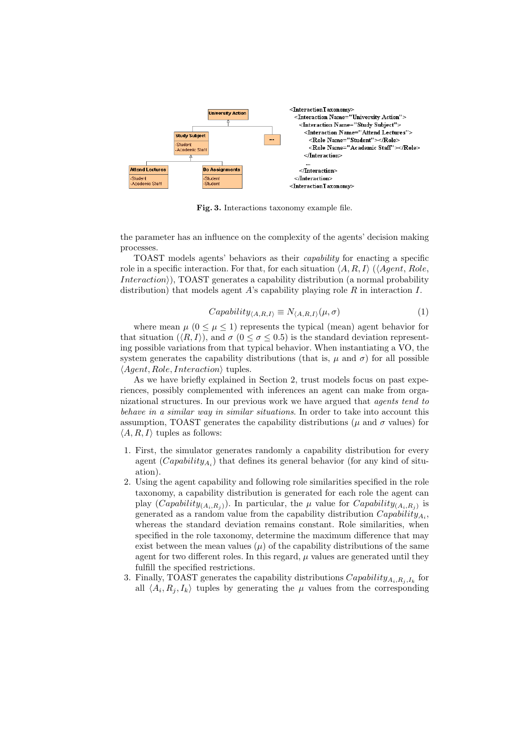

Fig. 3. Interactions taxonomy example file.

the parameter has an influence on the complexity of the agents' decision making processes.

TOAST models agents' behaviors as their capability for enacting a specific role in a specific interaction. For that, for each situation  $\langle A, R, I \rangle$  ( $\langle Agent, Role,$  $Interaction$ ), TOAST generates a capability distribution (a normal probability distribution) that models agent A's capability playing role R in interaction I.

$$
Capability_{\langle A,R,I\rangle} \equiv N_{\langle A,R,I\rangle}(\mu,\sigma) \tag{1}
$$

where mean  $\mu$  ( $0 \le \mu \le 1$ ) represents the typical (mean) agent behavior for that situation  $(\langle R, I \rangle)$ , and  $\sigma$   $(0 \le \sigma \le 0.5)$  is the standard deviation representing possible variations from that typical behavior. When instantiating a VO, the system generates the capability distributions (that is,  $\mu$  and  $\sigma$ ) for all possible  $\langle Agent, Role, Interaction \rangle$  tuples.

As we have briefly explained in Section 2, trust models focus on past experiences, possibly complemented with inferences an agent can make from organizational structures. In our previous work we have argued that agents tend to behave in a similar way in similar situations. In order to take into account this assumption, TOAST generates the capability distributions ( $\mu$  and  $\sigma$  values) for  $\langle A, R, I \rangle$  tuples as follows:

- 1. First, the simulator generates randomly a capability distribution for every agent  $(Capability_{A_i})$  that defines its general behavior (for any kind of situation).
- 2. Using the agent capability and following role similarities specified in the role taxonomy, a capability distribution is generated for each role the agent can play  $(Capability_{(A_i,R_j)})$ . In particular, the  $\mu$  value for  $Capability_{(A_i,R_j)}$  is generated as a random value from the capability distribution  $Capability_{A_i}$ , whereas the standard deviation remains constant. Role similarities, when specified in the role taxonomy, determine the maximum difference that may exist between the mean values  $(\mu)$  of the capability distributions of the same agent for two different roles. In this regard,  $\mu$  values are generated until they fulfill the specified restrictions.
- 3. Finally, TOAST generates the capability distributions  $Capability_{A_i,R_j,I_k}$  for all  $\langle A_i, R_j, I_k \rangle$  tuples by generating the  $\mu$  values from the corresponding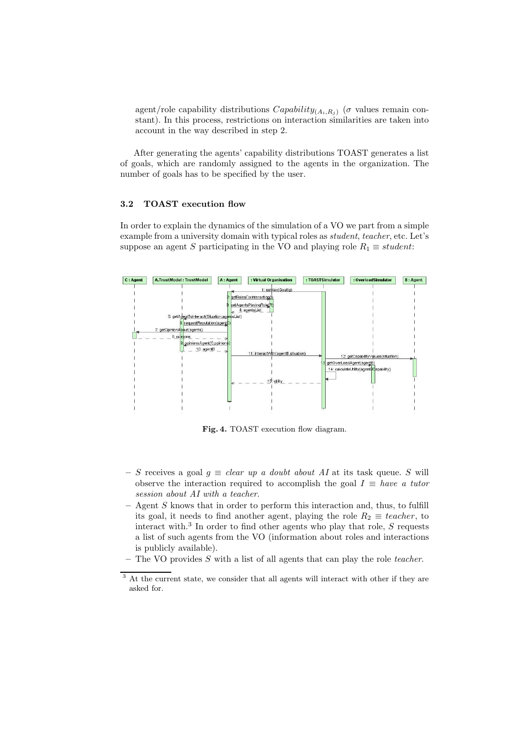agent/role capability distributions  $Capability_{(A_i,R_i)}$  ( $\sigma$  values remain constant). In this process, restrictions on interaction similarities are taken into account in the way described in step 2.

After generating the agents' capability distributions TOAST generates a list of goals, which are randomly assigned to the agents in the organization. The number of goals has to be specified by the user.

#### 3.2 TOAST execution flow

In order to explain the dynamics of the simulation of a VO we part from a simple example from a university domain with typical roles as student, teacher, etc. Let's suppose an agent S participating in the VO and playing role  $R_1 \equiv student$ :



Fig. 4. TOAST execution flow diagram.

- S receives a goal  $g \equiv clear \ up \ a \ doubt \ about \ AI \ at \ its \ task \ queue.$  S will observe the interaction required to accomplish the goal  $I \equiv have\ a\ tutor$ session about AI with a teacher.
- $-$  Agent  $S$  knows that in order to perform this interaction and, thus, to fulfill its goal, it needs to find another agent, playing the role  $R_2 \equiv teacher$ , to interact with.<sup>3</sup> In order to find other agents who play that role,  $S$  requests a list of such agents from the VO (information about roles and interactions is publicly available).
- The VO provides S with a list of all agents that can play the role teacher.

<sup>&</sup>lt;sup>3</sup> At the current state, we consider that all agents will interact with other if they are asked for.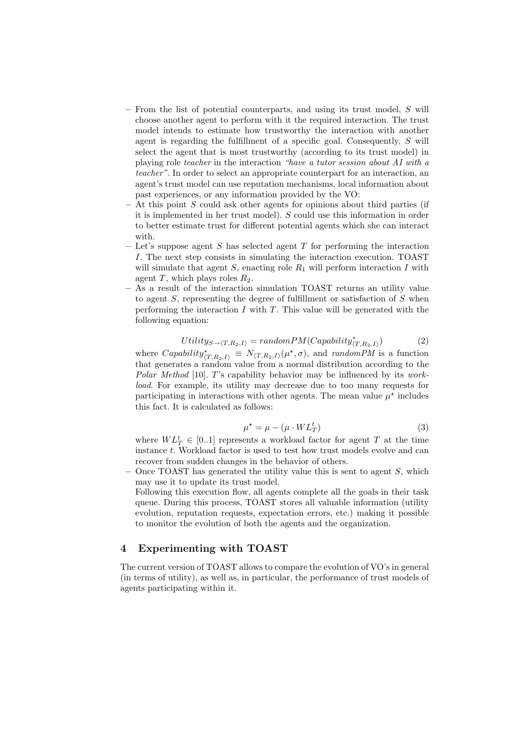- From the list of potential counterparts, and using its trust model, S will choose another agent to perform with it the required interaction. The trust model intends to estimate how trustworthy the interaction with another agent is regarding the fulfillment of a specific goal. Consequently, S will select the agent that is most trustworthy (according to its trust model) in playing role teacher in the interaction "have a tutor session about AI with a teacher". In order to select an appropriate counterpart for an interaction, an agent's trust model can use reputation mechanisms, local information about past experiences, or any information provided by the VO:
- At this point S could ask other agents for opinions about third parties (if it is implemented in her trust model). S could use this information in order to better estimate trust for different potential agents which she can interact with.
- Let's suppose agent S has selected agent T for performing the interaction I. The next step consists in simulating the interaction execution. TOAST will simulate that agent  $S$ , enacting role  $R_1$  will perform interaction  $I$  with agent T, which plays roles  $R_2$ .
- As a result of the interaction simulation TOAST returns an utility value to agent  $S$ , representing the degree of fulfillment or satisfaction of  $S$  when performing the interaction  $I$  with  $T$ . This value will be generated with the following equation:

$$
Utility_{S\rightarrow\langle T,R_2,I\rangle} = randomPM(Capability^*_{\langle T,R_2,I\rangle})
$$
\n(2)

where  $Capability^*_{(T,R_2,I)} \equiv N_{\langle T,R_2,I\rangle}(\mu^*,\sigma)$ , and randomPM is a function that generates a random value from a normal distribution according to the Polar Method  $[10]$ . T's capability behavior may be influenced by its workload. For example, its utility may decrease due to too many requests for participating in interactions with other agents. The mean value  $\mu^*$  includes this fact. It is calculated as follows:

$$
\mu^* = \mu - (\mu \cdot WL_T^t) \tag{3}
$$

where  $WL_T^t \in [0..1]$  represents a workload factor for agent T at the time instance t. Workload factor is used to test how trust models evolve and can recover from sudden changes in the behavior of others.

- Once TOAST has generated the utility value this is sent to agent  $S$ , which may use it to update its trust model.
	- Following this execution flow, all agents complete all the goals in their task queue. During this process, TOAST stores all valuable information (utility evolution, reputation requests, expectation errors, etc.) making it possible to monitor the evolution of both the agents and the organization.

#### 4 Experimenting with TOAST

The current version of TOAST allows to compare the evolution of VO's in general (in terms of utility), as well as, in particular, the performance of trust models of agents participating within it.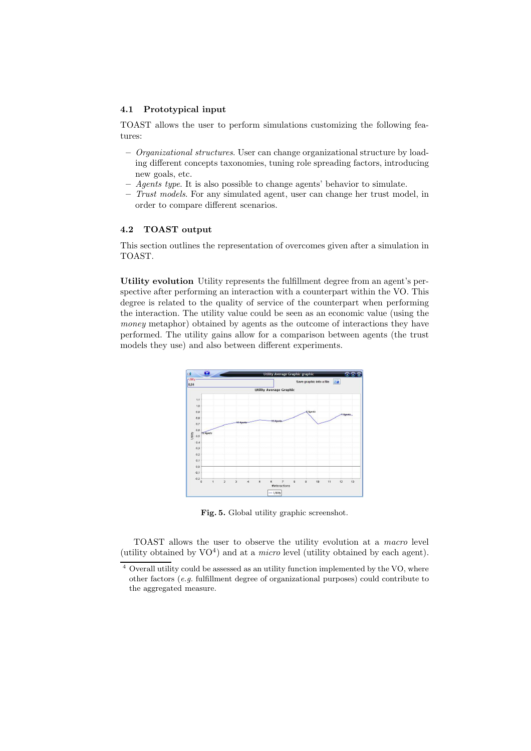#### 4.1 Prototypical input

TOAST allows the user to perform simulations customizing the following features:

- Organizational structures. User can change organizational structure by loading different concepts taxonomies, tuning role spreading factors, introducing new goals, etc.
- Agents type. It is also possible to change agents' behavior to simulate.
- Trust models. For any simulated agent, user can change her trust model, in order to compare different scenarios.

## 4.2 TOAST output

This section outlines the representation of overcomes given after a simulation in TOAST.

Utility evolution Utility represents the fulfillment degree from an agent's perspective after performing an interaction with a counterpart within the VO. This degree is related to the quality of service of the counterpart when performing the interaction. The utility value could be seen as an economic value (using the money metaphor) obtained by agents as the outcome of interactions they have performed. The utility gains allow for a comparison between agents (the trust models they use) and also between different experiments.



Fig. 5. Global utility graphic screenshot.

TOAST allows the user to observe the utility evolution at a macro level (utility obtained by  $VO<sup>4</sup>$ ) and at a *micro* level (utility obtained by each agent).

<sup>4</sup> Overall utility could be assessed as an utility function implemented by the VO, where other factors (e.g. fulfillment degree of organizational purposes) could contribute to the aggregated measure.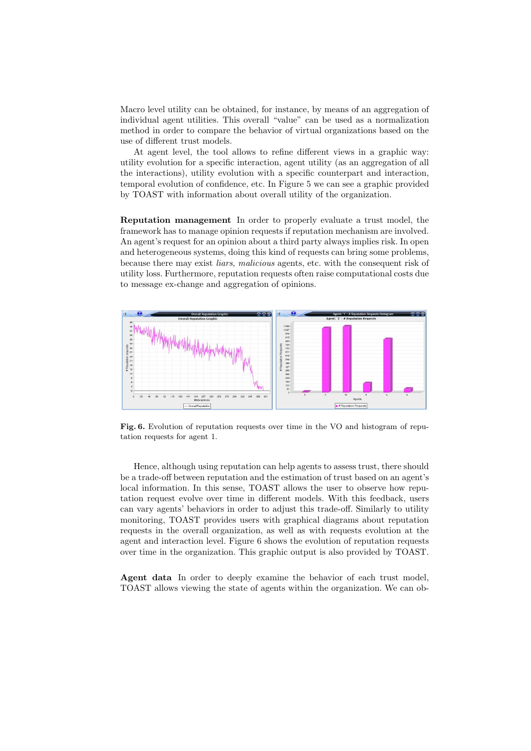Macro level utility can be obtained, for instance, by means of an aggregation of individual agent utilities. This overall "value" can be used as a normalization method in order to compare the behavior of virtual organizations based on the use of different trust models.

At agent level, the tool allows to refine different views in a graphic way: utility evolution for a specific interaction, agent utility (as an aggregation of all the interactions), utility evolution with a specific counterpart and interaction, temporal evolution of confidence, etc. In Figure 5 we can see a graphic provided by TOAST with information about overall utility of the organization.

Reputation management In order to properly evaluate a trust model, the framework has to manage opinion requests if reputation mechanism are involved. An agent's request for an opinion about a third party always implies risk. In open and heterogeneous systems, doing this kind of requests can bring some problems, because there may exist liars, malicious agents, etc. with the consequent risk of utility loss. Furthermore, reputation requests often raise computational costs due to message ex-change and aggregation of opinions.



Fig. 6. Evolution of reputation requests over time in the VO and histogram of reputation requests for agent 1.

Hence, although using reputation can help agents to assess trust, there should be a trade-off between reputation and the estimation of trust based on an agent's local information. In this sense, TOAST allows the user to observe how reputation request evolve over time in different models. With this feedback, users can vary agents' behaviors in order to adjust this trade-off. Similarly to utility monitoring, TOAST provides users with graphical diagrams about reputation requests in the overall organization, as well as with requests evolution at the agent and interaction level. Figure 6 shows the evolution of reputation requests over time in the organization. This graphic output is also provided by TOAST.

Agent data In order to deeply examine the behavior of each trust model, TOAST allows viewing the state of agents within the organization. We can ob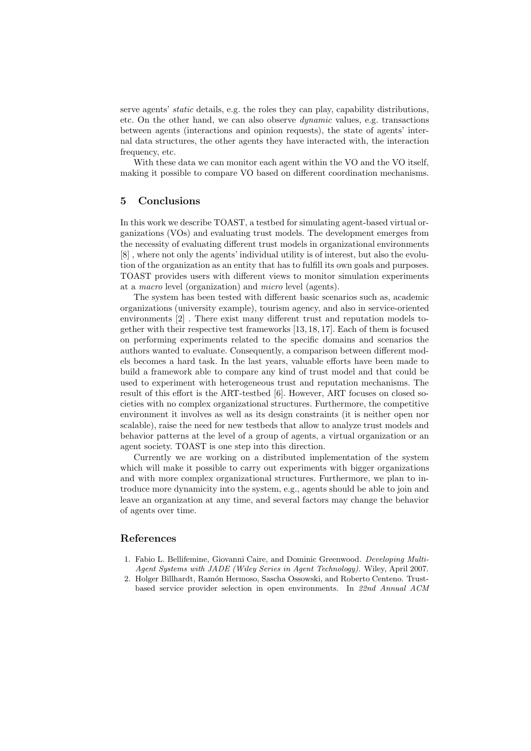serve agents' *static* details, e.g. the roles they can play, capability distributions, etc. On the other hand, we can also observe  $dynamic$  values, e.g. transactions between agents (interactions and opinion requests), the state of agents' internal data structures, the other agents they have interacted with, the interaction frequency, etc.

With these data we can monitor each agent within the VO and the VO itself. making it possible to compare VO based on different coordination mechanisms.

# 5 Conclusions

In this work we describe TOAST, a testbed for simulating agent-based virtual organizations (VOs) and evaluating trust models. The development emerges from the necessity of evaluating different trust models in organizational environments [8] , where not only the agents' individual utility is of interest, but also the evolution of the organization as an entity that has to fulfill its own goals and purposes. TOAST provides users with different views to monitor simulation experiments at a macro level (organization) and micro level (agents).

The system has been tested with different basic scenarios such as, academic organizations (university example), tourism agency, and also in service-oriented environments [2] . There exist many different trust and reputation models together with their respective test frameworks [13, 18, 17]. Each of them is focused on performing experiments related to the specific domains and scenarios the authors wanted to evaluate. Consequently, a comparison between different models becomes a hard task. In the last years, valuable efforts have been made to build a framework able to compare any kind of trust model and that could be used to experiment with heterogeneous trust and reputation mechanisms. The result of this effort is the ART-testbed [6]. However, ART focuses on closed societies with no complex organizational structures. Furthermore, the competitive environment it involves as well as its design constraints (it is neither open nor scalable), raise the need for new testbeds that allow to analyze trust models and behavior patterns at the level of a group of agents, a virtual organization or an agent society. TOAST is one step into this direction.

Currently we are working on a distributed implementation of the system which will make it possible to carry out experiments with bigger organizations and with more complex organizational structures. Furthermore, we plan to introduce more dynamicity into the system, e.g., agents should be able to join and leave an organization at any time, and several factors may change the behavior of agents over time.

## References

- 1. Fabio L. Bellifemine, Giovanni Caire, and Dominic Greenwood. Developing Multi-Agent Systems with JADE (Wiley Series in Agent Technology). Wiley, April 2007.
- 2. Holger Billhardt, Ramón Hermoso, Sascha Ossowski, and Roberto Centeno. Trustbased service provider selection in open environments. In 22nd Annual ACM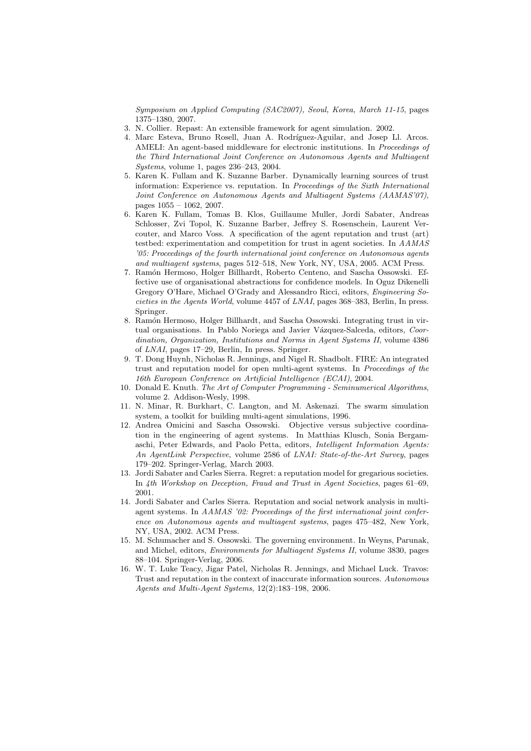Symposium on Applied Computing (SAC2007), Seoul, Korea, March 11-15, pages 1375–1380, 2007.

- 3. N. Collier. Repast: An extensible framework for agent simulation. 2002.
- 4. Marc Esteva, Bruno Rosell, Juan A. Rodríguez-Aguilar, and Josep Ll. Arcos. AMELI: An agent-based middleware for electronic institutions. In Proceedings of the Third International Joint Conference on Autonomous Agents and Multiagent Systems, volume 1, pages 236–243, 2004.
- 5. Karen K. Fullam and K. Suzanne Barber. Dynamically learning sources of trust information: Experience vs. reputation. In Proceedings of the Sixth International Joint Conference on Autonomous Agents and Multiagent Systems (AAMAS'07), pages 1055 – 1062, 2007.
- 6. Karen K. Fullam, Tomas B. Klos, Guillaume Muller, Jordi Sabater, Andreas Schlosser, Zvi Topol, K. Suzanne Barber, Jeffrey S. Rosenschein, Laurent Vercouter, and Marco Voss. A specification of the agent reputation and trust (art) testbed: experimentation and competition for trust in agent societies. In AAMAS '05: Proceedings of the fourth international joint conference on Autonomous agents and multiagent systems, pages 512–518, New York, NY, USA, 2005. ACM Press.
- 7. Ramón Hermoso, Holger Billhardt, Roberto Centeno, and Sascha Ossowski. Effective use of organisational abstractions for confidence models. In Oguz Dikenelli Gregory O'Hare, Michael O'Grady and Alessandro Ricci, editors, Engineering Societies in the Agents World, volume 4457 of LNAI, pages 368–383, Berlin, In press. Springer.
- 8. Ram´on Hermoso, Holger Billhardt, and Sascha Ossowski. Integrating trust in virtual organisations. In Pablo Noriega and Javier Vázquez-Salceda, editors, Coordination, Organization, Institutions and Norms in Agent Systems II, volume 4386 of LNAI, pages 17–29, Berlin, In press. Springer.
- 9. T. Dong Huynh, Nicholas R. Jennings, and Nigel R. Shadbolt. FIRE: An integrated trust and reputation model for open multi-agent systems. In Proceedings of the 16th European Conference on Artificial Intelligence (ECAI), 2004.
- 10. Donald E. Knuth. The Art of Computer Programming Seminumerical Algorithms, volume 2. Addison-Wesly, 1998.
- 11. N. Minar, R. Burkhart, C. Langton, and M. Askenazi. The swarm simulation system, a toolkit for building multi-agent simulations, 1996.
- 12. Andrea Omicini and Sascha Ossowski. Objective versus subjective coordination in the engineering of agent systems. In Matthias Klusch, Sonia Bergamaschi, Peter Edwards, and Paolo Petta, editors, Intelligent Information Agents: An AgentLink Perspective, volume 2586 of LNAI: State-of-the-Art Survey, pages 179–202. Springer-Verlag, March 2003.
- 13. Jordi Sabater and Carles Sierra. Regret: a reputation model for gregarious societies. In 4th Workshop on Deception, Fraud and Trust in Agent Societies, pages 61–69, 2001.
- 14. Jordi Sabater and Carles Sierra. Reputation and social network analysis in multiagent systems. In AAMAS '02: Proceedings of the first international joint conference on Autonomous agents and multiagent systems, pages 475–482, New York, NY, USA, 2002. ACM Press.
- 15. M. Schumacher and S. Ossowski. The governing environment. In Weyns, Parunak, and Michel, editors, Environments for Multiagent Systems II, volume 3830, pages 88–104. Springer-Verlag, 2006.
- 16. W. T. Luke Teacy, Jigar Patel, Nicholas R. Jennings, and Michael Luck. Travos: Trust and reputation in the context of inaccurate information sources. Autonomous Agents and Multi-Agent Systems, 12(2):183–198, 2006.